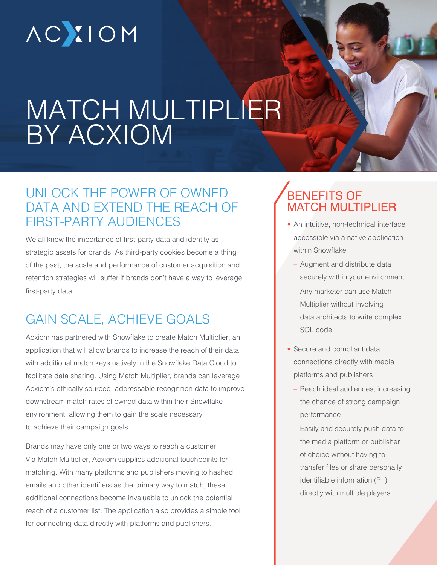# **ACXIOM**

## MATCH MULTIPLIER BY ACXIOM

#### UNLOCK THE POWER OF OWNED DATA AND EXTEND THE REACH OF FIRST-PARTY AUDIENCES

We all know the importance of first-party data and identity as strategic assets for brands. As third-party cookies become a thing of the past, the scale and performance of customer acquisition and retention strategies will suffer if brands don't have a way to leverage first-party data.

## GAIN SCALE, ACHIEVE GOALS

Acxiom has partnered with Snowflake to create Match Multiplier, an application that will allow brands to increase the reach of their data with additional match keys natively in the Snowflake Data Cloud to facilitate data sharing. Using Match Multiplier, brands can leverage Acxiom's ethically sourced, addressable recognition data to improve downstream match rates of owned data within their Snowflake environment, allowing them to gain the scale necessary to achieve their campaign goals.

Brands may have only one or two ways to reach a customer. Via Match Multiplier, Acxiom supplies additional touchpoints for matching. With many platforms and publishers moving to hashed emails and other identifiers as the primary way to match, these additional connections become invaluable to unlock the potential reach of a customer list. The application also provides a simple tool for connecting data directly with platforms and publishers.

#### BENEFITS OF MATCH MULTIPLIER

- An intuitive, non-technical interface accessible via a native application within Snowflake
	- Augment and distribute data securely within your environment
	- Any marketer can use Match Multiplier without involving data architects to write complex SQL code
- Secure and compliant data connections directly with media platforms and publishers
	- Reach ideal audiences, increasing the chance of strong campaign performance
	- Easily and securely push data to the media platform or publisher of choice without having to transfer files or share personally identifiable information (PII) directly with multiple players